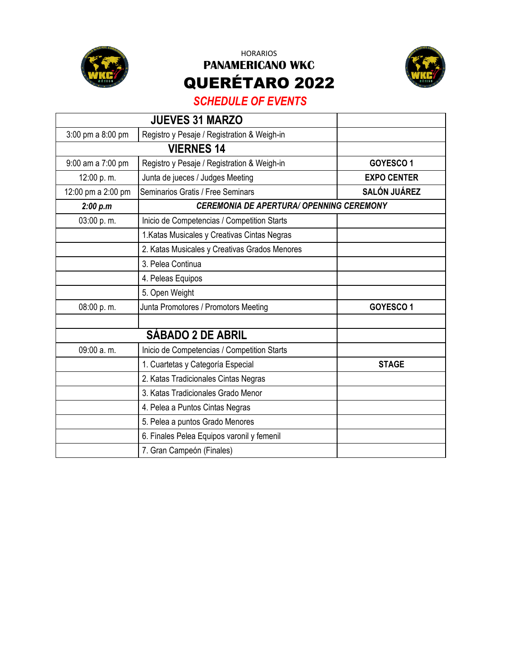

HORARIOS **PANAMERICANO WKC** QUERÉTARO 2022



## *SCHEDULE OF EVENTS*

|                    | <b>JUEVES 31 MARZO</b>                          |                     |  |
|--------------------|-------------------------------------------------|---------------------|--|
| 3:00 pm a 8:00 pm  | Registro y Pesaje / Registration & Weigh-in     |                     |  |
|                    | <b>VIERNES 14</b>                               |                     |  |
| 9:00 am a 7:00 pm  | Registro y Pesaje / Registration & Weigh-in     | GOYESCO1            |  |
| 12:00 p.m.         | Junta de jueces / Judges Meeting                | <b>EXPO CENTER</b>  |  |
| 12:00 pm a 2:00 pm | Seminarios Gratis / Free Seminars               | <b>SALÓN JUÁREZ</b> |  |
| 2:00 p.m           | <b>CEREMONIA DE APERTURA/ OPENNING CEREMONY</b> |                     |  |
| 03:00 p.m.         | Inicio de Competencias / Competition Starts     |                     |  |
|                    | 1. Katas Musicales y Creativas Cintas Negras    |                     |  |
|                    | 2. Katas Musicales y Creativas Grados Menores   |                     |  |
|                    | 3. Pelea Continua                               |                     |  |
|                    | 4. Peleas Equipos                               |                     |  |
|                    | 5. Open Weight                                  |                     |  |
| 08:00 p.m.         | Junta Promotores / Promotors Meeting            | GOYESCO1            |  |
|                    |                                                 |                     |  |
|                    | <b>SÁBADO 2 DE ABRIL</b>                        |                     |  |
| 09:00 a.m.         | Inicio de Competencias / Competition Starts     |                     |  |
|                    | 1. Cuartetas y Categoría Especial               | <b>STAGE</b>        |  |
|                    | 2. Katas Tradicionales Cintas Negras            |                     |  |
|                    | 3. Katas Tradicionales Grado Menor              |                     |  |
|                    | 4. Pelea a Puntos Cintas Negras                 |                     |  |
|                    | 5. Pelea a puntos Grado Menores                 |                     |  |
|                    | 6. Finales Pelea Equipos varonil y femenil      |                     |  |
|                    | 7. Gran Campeón (Finales)                       |                     |  |